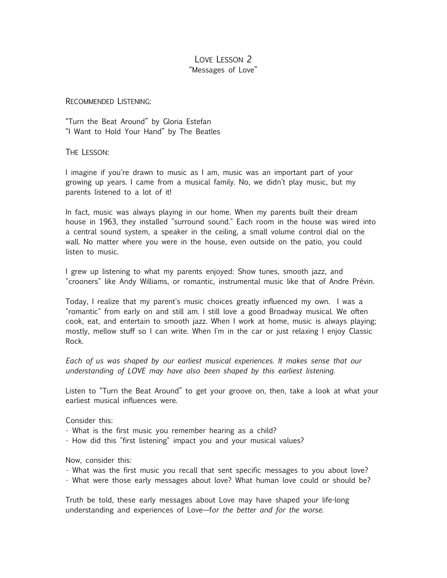# LOVE LESSON 2 "Messages of Love"

#### RECOMMENDED LISTENING:

"Turn the Beat Around" by Gloria Estefan "I Want to Hold Your Hand" by The Beatles

THE LESSON:

I imagine if you're drawn to music as I am, music was an important part of your growing up years. I came from a musical family. No, we didn't play music, but my parents listened to a lot of it!

In fact, music was always playing in our home. When my parents built their dream house in 1963, they installed "surround sound." Each room in the house was wired into a central sound system, a speaker in the ceiling, a small volume control dial on the wall. No matter where you were in the house, even outside on the patio, you could listen to music.

I grew up listening to what my parents enjoyed: Show tunes, smooth jazz, and "crooners" like Andy Williams, or romantic, instrumental music like that of Andre Prévin.

Today, I realize that my parent's music choices greatly influenced my own. I was a "romantic" from early on and still am. I still love a good Broadway musical. We often cook, eat, and entertain to smooth jazz. When I work at home, music is always playing; mostly, mellow stuff so I can write. When I'm in the car or just relaxing I enjoy Classic Rock.

*Each of us was shaped by our earliest musical experiences. It makes sense that our understanding of LOVE may have also been shaped by this earliest listening.*

Listen to "Turn the Beat Around" to get your groove on, then, take a look at what your earliest musical influences were.

Consider this:

- What is the first music you remember hearing as a child?
- How did this "first listening" impact you and your musical values?

Now, consider this:

- What was the first music you recall that sent specific messages to you about love?
- What were those early messages about love? What human love could or should be?

Truth be told, these early messages about Love may have shaped your life-long understanding and experiences of Love—f*or the better and for the worse.*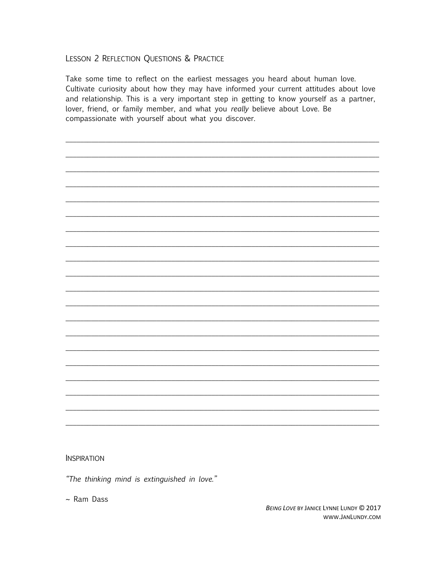## LESSON 2 REFLECTION QUESTIONS & PRACTICE

Take some time to reflect on the earliest messages you heard about human love. Cultivate curiosity about how they may have informed your current attitudes about love and relationship. This is a very important step in getting to know yourself as a partner, lover, friend, or family member, and what you really believe about Love. Be compassionate with yourself about what you discover.

**INSPIRATION** 

"The thinking mind is extinguished in love."

 $\sim$  Ram Dass

BEING LOVE BY JANICE LYNNE LUNDY @ 2017 www.JanLundy.com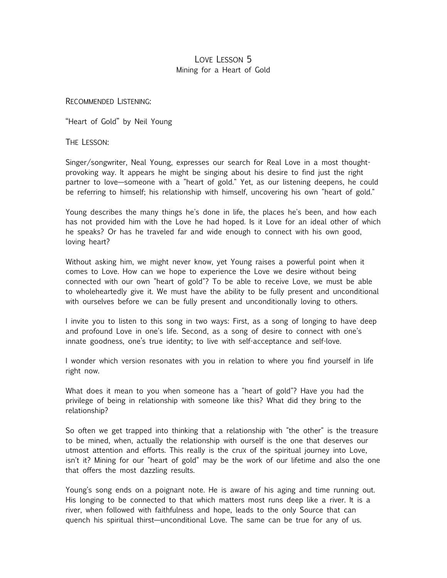# LOVE LESSON 5 Mining for a Heart of Gold

RECOMMENDED LISTENING:

"Heart of Gold" by Neil Young

THE LESSON:

Singer/songwriter, Neal Young, expresses our search for Real Love in a most thoughtprovoking way. It appears he might be singing about his desire to find just the right partner to love—someone with a "heart of gold." Yet, as our listening deepens, he could be referring to himself; his relationship with himself, uncovering his own "heart of gold."

Young describes the many things he's done in life, the places he's been, and how each has not provided him with the Love he had hoped. Is it Love for an ideal other of which he speaks? Or has he traveled far and wide enough to connect with his own good, loving heart?

Without asking him, we might never know, yet Young raises a powerful point when it comes to Love. How can we hope to experience the Love we desire without being connected with our own "heart of gold"? To be able to receive Love, we must be able to wholeheartedly give it. We must have the ability to be fully present and unconditional with ourselves before we can be fully present and unconditionally loving to others.

I invite you to listen to this song in two ways: First, as a song of longing to have deep and profound Love in one's life. Second, as a song of desire to connect with one's innate goodness, one's true identity; to live with self-acceptance and self-love.

I wonder which version resonates with you in relation to where you find yourself in life right now.

What does it mean to you when someone has a "heart of gold"? Have you had the privilege of being in relationship with someone like this? What did they bring to the relationship?

So often we get trapped into thinking that a relationship with "the other" is the treasure to be mined, when, actually the relationship with ourself is the one that deserves our utmost attention and efforts. This really is the crux of the spiritual journey into Love, isn't it? Mining for our "heart of gold" may be the work of our lifetime and also the one that offers the most dazzling results.

Young's song ends on a poignant note. He is aware of his aging and time running out. His longing to be connected to that which matters most runs deep like a river. It is a river, when followed with faithfulness and hope, leads to the only Source that can quench his spiritual thirst—unconditional Love. The same can be true for any of us.